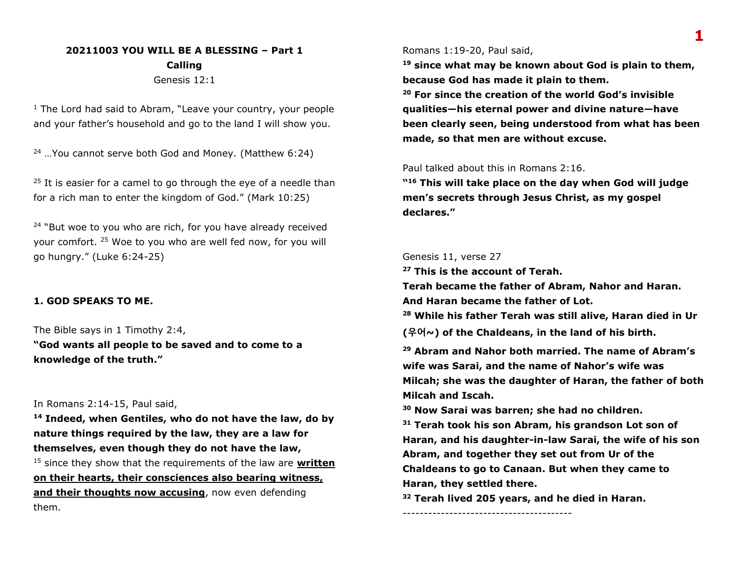# **20211003 YOU WILL BE A BLESSING – Part 1 Calling** Genesis 12:1

<sup>1</sup> The Lord had said to Abram, "Leave your country, your people and your father's household and go to the land I will show you.

 $24$  ...You cannot serve both God and Money. (Matthew 6:24)

 $25$  It is easier for a camel to go through the eye of a needle than for a rich man to enter the kingdom of God." (Mark 10:25)

 $24$  "But woe to you who are rich, for you have already received your comfort. <sup>25</sup> Woe to you who are well fed now, for you will go hungry." (Luke 6:24-25)

### **1. GOD SPEAKS TO ME.**

The Bible says in 1 Timothy 2:4,

**"God wants all people to be saved and to come to a knowledge of the truth."**

### In Romans 2:14-15, Paul said,

**<sup>14</sup> Indeed, when Gentiles, who do not have the law, do by nature things required by the law, they are a law for themselves, even though they do not have the law,** <sup>15</sup> since they show that the requirements of the law are **written** 

**on their hearts, their consciences also bearing witness, and their thoughts now accusing**, now even defending them.

Romans 1:19-20, Paul said,

**<sup>19</sup> since what may be known about God is plain to them, because God has made it plain to them.**

**<sup>20</sup> For since the creation of the world God's invisible qualities—his eternal power and divine nature—have been clearly seen, being understood from what has been made, so that men are without excuse.**

### Paul talked about this in Romans 2:16.

**" <sup>16</sup> This will take place on the day when God will judge men's secrets through Jesus Christ, as my gospel declares."**

#### Genesis 11, verse 27

**<sup>27</sup> This is the account of Terah.**

**Terah became the father of Abram, Nahor and Haran. And Haran became the father of Lot.**

**<sup>28</sup> While his father Terah was still alive, Haran died in Ur** 

**(우어~) of the Chaldeans, in the land of his birth.**

**<sup>29</sup> Abram and Nahor both married. The name of Abram's wife was Sarai, and the name of Nahor's wife was Milcah; she was the daughter of Haran, the father of both Milcah and Iscah.**

**<sup>30</sup> Now Sarai was barren; she had no children.**

**<sup>31</sup> Terah took his son Abram, his grandson Lot son of Haran, and his daughter-in-law Sarai, the wife of his son Abram, and together they set out from Ur of the Chaldeans to go to Canaan. But when they came to Haran, they settled there.**

**<sup>32</sup> Terah lived 205 years, and he died in Haran.**

----------------------------------------